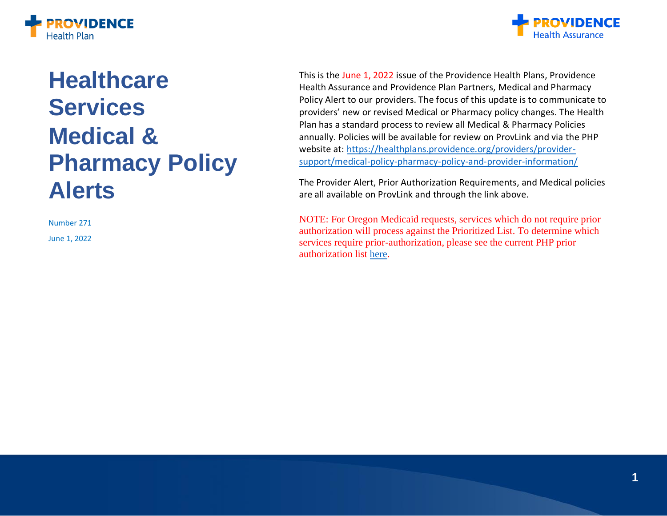



# **Healthcare Services Medical & Pharmacy Policy Alerts**

Number 271

June 1, 2022

This is the June 1, 2022 issue of the Providence Health Plans, Providence Health Assurance and Providence Plan Partners, Medical and Pharmacy Policy Alert to our providers. The focus of this update is to communicate to providers' new or revised Medical or Pharmacy policy changes. The Health Plan has a standard process to review all Medical & Pharmacy Policies annually. Policies will be available for review on ProvLink and via the PHP website at: [https://healthplans.providence.org/providers/provider](https://healthplans.providence.org/providers/provider-support/medical-policy-pharmacy-policy-and-provider-information/)[support/medical-policy-pharmacy-policy-and-provider-information/](https://healthplans.providence.org/providers/provider-support/medical-policy-pharmacy-policy-and-provider-information/)

The Provider Alert, Prior Authorization Requirements, and Medical policies are all available on ProvLink and through the link above.

NOTE: For Oregon Medicaid requests, services which do not require prior authorization will process against the Prioritized List. To determine which services require prior-authorization, please see the current PHP prior authorization list [here.](https://www.providencehealthplan.com/-/media/providence/website/pdfs/providers/medical-policy-and-provider-information/prior-authorization/php_prior_authorization_code_list.pdf?sc_lang=en&rev=71c83527719e43749c121b9dc7f1f8fa&hash=E20AF93D27978C1D1535DD3C5460899E)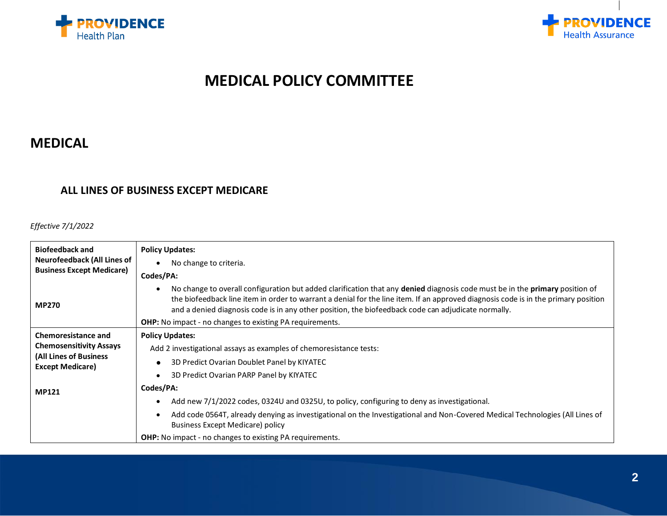



# **MEDICAL POLICY COMMITTEE**

## **MEDICAL**

#### **ALL LINES OF BUSINESS EXCEPT MEDICARE**

#### *Effective 7/1/2022*

| <b>Biofeedback and</b>                            | <b>Policy Updates:</b>                                                                                                                                                                                                                                                                                                                                                    |
|---------------------------------------------------|---------------------------------------------------------------------------------------------------------------------------------------------------------------------------------------------------------------------------------------------------------------------------------------------------------------------------------------------------------------------------|
| Neurofeedback (All Lines of                       | No change to criteria.<br>$\bullet$                                                                                                                                                                                                                                                                                                                                       |
| <b>Business Except Medicare)</b>                  | Codes/PA:                                                                                                                                                                                                                                                                                                                                                                 |
| <b>MP270</b>                                      | No change to overall configuration but added clarification that any denied diagnosis code must be in the primary position of<br>the biofeedback line item in order to warrant a denial for the line item. If an approved diagnosis code is in the primary position<br>and a denied diagnosis code is in any other position, the biofeedback code can adjudicate normally. |
|                                                   | <b>OHP:</b> No impact - no changes to existing PA requirements.                                                                                                                                                                                                                                                                                                           |
| <b>Chemoresistance and</b>                        | <b>Policy Updates:</b>                                                                                                                                                                                                                                                                                                                                                    |
| <b>Chemosensitivity Assays</b>                    | Add 2 investigational assays as examples of chemoresistance tests:                                                                                                                                                                                                                                                                                                        |
| (All Lines of Business<br><b>Except Medicare)</b> | 3D Predict Ovarian Doublet Panel by KIYATEC                                                                                                                                                                                                                                                                                                                               |
|                                                   | 3D Predict Ovarian PARP Panel by KIYATEC                                                                                                                                                                                                                                                                                                                                  |
| <b>MP121</b>                                      | Codes/PA:                                                                                                                                                                                                                                                                                                                                                                 |
|                                                   | Add new 7/1/2022 codes, 0324U and 0325U, to policy, configuring to deny as investigational.                                                                                                                                                                                                                                                                               |
|                                                   | Add code 0564T, already denying as investigational on the Investigational and Non-Covered Medical Technologies (All Lines of<br><b>Business Except Medicare) policy</b>                                                                                                                                                                                                   |
|                                                   | <b>OHP:</b> No impact - no changes to existing PA requirements.                                                                                                                                                                                                                                                                                                           |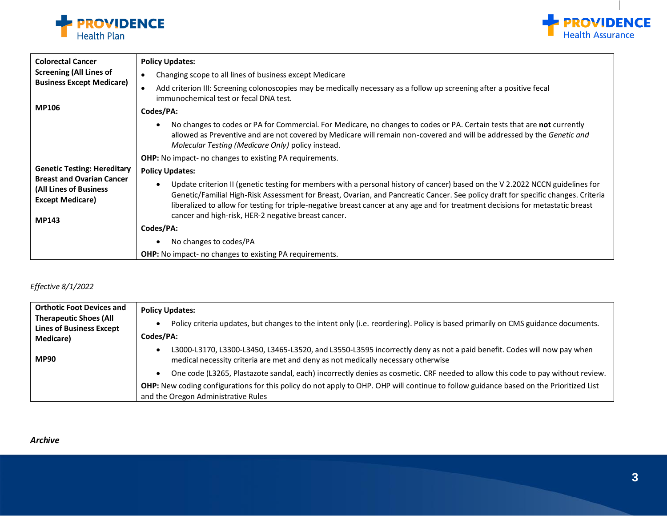



| <b>Colorectal Cancer</b>                                                              | <b>Policy Updates:</b>                                                                                                                                                                                                                                                                                                                                                                                             |
|---------------------------------------------------------------------------------------|--------------------------------------------------------------------------------------------------------------------------------------------------------------------------------------------------------------------------------------------------------------------------------------------------------------------------------------------------------------------------------------------------------------------|
| <b>Screening (All Lines of</b>                                                        | Changing scope to all lines of business except Medicare<br>$\bullet$                                                                                                                                                                                                                                                                                                                                               |
| <b>Business Except Medicare)</b>                                                      | Add criterion III: Screening colonoscopies may be medically necessary as a follow up screening after a positive fecal<br>$\bullet$<br>immunochemical test or fecal DNA test.                                                                                                                                                                                                                                       |
| <b>MP106</b>                                                                          | Codes/PA:                                                                                                                                                                                                                                                                                                                                                                                                          |
|                                                                                       | No changes to codes or PA for Commercial. For Medicare, no changes to codes or PA. Certain tests that are not currently<br>allowed as Preventive and are not covered by Medicare will remain non-covered and will be addressed by the Genetic and<br>Molecular Testing (Medicare Only) policy instead.                                                                                                             |
|                                                                                       | <b>OHP:</b> No impact- no changes to existing PA requirements.                                                                                                                                                                                                                                                                                                                                                     |
| <b>Genetic Testing: Hereditary</b>                                                    | <b>Policy Updates:</b>                                                                                                                                                                                                                                                                                                                                                                                             |
| <b>Breast and Ovarian Cancer</b><br>(All Lines of Business<br><b>Except Medicare)</b> | Update criterion II (genetic testing for members with a personal history of cancer) based on the V 2.2022 NCCN guidelines for<br>$\bullet$<br>Genetic/Familial High-Risk Assessment for Breast, Ovarian, and Pancreatic Cancer. See policy draft for specific changes. Criteria<br>liberalized to allow for testing for triple-negative breast cancer at any age and for treatment decisions for metastatic breast |
| <b>MP143</b>                                                                          | cancer and high-risk, HER-2 negative breast cancer.                                                                                                                                                                                                                                                                                                                                                                |
|                                                                                       | Codes/PA:                                                                                                                                                                                                                                                                                                                                                                                                          |
|                                                                                       | No changes to codes/PA                                                                                                                                                                                                                                                                                                                                                                                             |
|                                                                                       | OHP: No impact- no changes to existing PA requirements.                                                                                                                                                                                                                                                                                                                                                            |

#### *Effective 8/1/2022*

| <b>Orthotic Foot Devices and</b>                                 | <b>Policy Updates:</b>                                                                                                                                                                                     |
|------------------------------------------------------------------|------------------------------------------------------------------------------------------------------------------------------------------------------------------------------------------------------------|
| <b>Therapeutic Shoes (All</b><br><b>Lines of Business Except</b> | Policy criteria updates, but changes to the intent only (i.e. reordering). Policy is based primarily on CMS guidance documents.                                                                            |
| Medicare)                                                        | Codes/PA:                                                                                                                                                                                                  |
| <b>MP90</b>                                                      | L3000-L3170, L3300-L3450, L3465-L3520, and L3550-L3595 incorrectly deny as not a paid benefit. Codes will now pay when<br>medical necessity criteria are met and deny as not medically necessary otherwise |
|                                                                  | One code (L3265, Plastazote sandal, each) incorrectly denies as cosmetic. CRF needed to allow this code to pay without review.                                                                             |
|                                                                  | OHP: New coding configurations for this policy do not apply to OHP. OHP will continue to follow guidance based on the Prioritized List<br>and the Oregon Administrative Rules                              |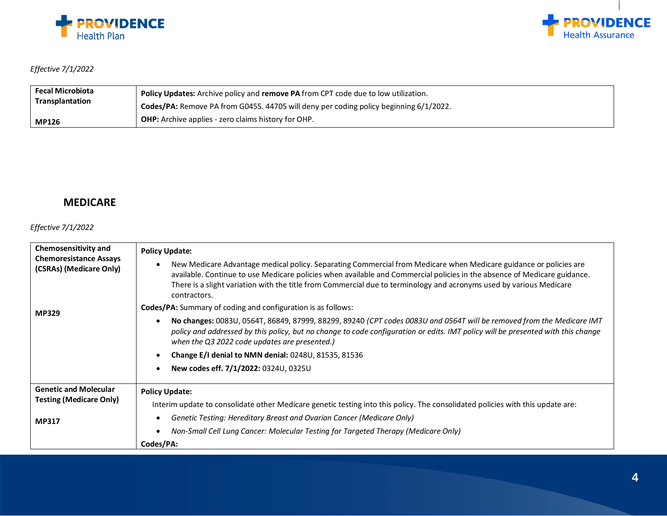



#### *Effective 7/1/2022*

| <b>Fecal Microbiota</b> | <b>Policy Updates:</b> Archive policy and <b>remove PA</b> from CPT code due to low utilization. |
|-------------------------|--------------------------------------------------------------------------------------------------|
| <b>Transplantation</b>  | Codes/PA: Remove PA from G0455. 44705 will deny per coding policy beginning 6/1/2022.            |
| <b>MP126</b>            | OHP: Archive applies - zero claims history for OHP.                                              |

#### **MEDICARE**

#### *Effective 7/1/2022*

| Chemosensitivity and                                     | <b>Policy Update:</b>                                                                                                                                                                                                                                                                                                                                                                             |
|----------------------------------------------------------|---------------------------------------------------------------------------------------------------------------------------------------------------------------------------------------------------------------------------------------------------------------------------------------------------------------------------------------------------------------------------------------------------|
| <b>Chemoresistance Assays</b><br>(CSRAs) (Medicare Only) | New Medicare Advantage medical policy. Separating Commercial from Medicare when Medicare guidance or policies are<br>$\bullet$<br>available. Continue to use Medicare policies when available and Commercial policies in the absence of Medicare guidance.<br>There is a slight variation with the title from Commercial due to terminology and acronyms used by various Medicare<br>contractors. |
| <b>MP329</b>                                             | <b>Codes/PA:</b> Summary of coding and configuration is as follows:                                                                                                                                                                                                                                                                                                                               |
|                                                          | No changes: 0083U, 0564T, 86849, 87999, 88299, 89240 (CPT codes 0083U and 0564T will be removed from the Medicare IMT<br>$\bullet$<br>policy and addressed by this policy, but no change to code configuration or edits. IMT policy will be presented with this change<br>when the Q3 2022 code updates are presented.)                                                                           |
|                                                          | Change E/I denial to NMN denial: 0248U, 81535, 81536                                                                                                                                                                                                                                                                                                                                              |
|                                                          | New codes eff. 7/1/2022: 0324U, 0325U                                                                                                                                                                                                                                                                                                                                                             |
| <b>Genetic and Molecular</b>                             | <b>Policy Update:</b>                                                                                                                                                                                                                                                                                                                                                                             |
| <b>Testing (Medicare Only)</b>                           | Interim update to consolidate other Medicare genetic testing into this policy. The consolidated policies with this update are:                                                                                                                                                                                                                                                                    |
| <b>MP317</b>                                             | Genetic Testing: Hereditary Breast and Ovarian Cancer (Medicare Only)<br>٠                                                                                                                                                                                                                                                                                                                        |
|                                                          | Non-Small Cell Lung Cancer: Molecular Testing for Targeted Therapy (Medicare Only)                                                                                                                                                                                                                                                                                                                |
|                                                          | Codes/PA:                                                                                                                                                                                                                                                                                                                                                                                         |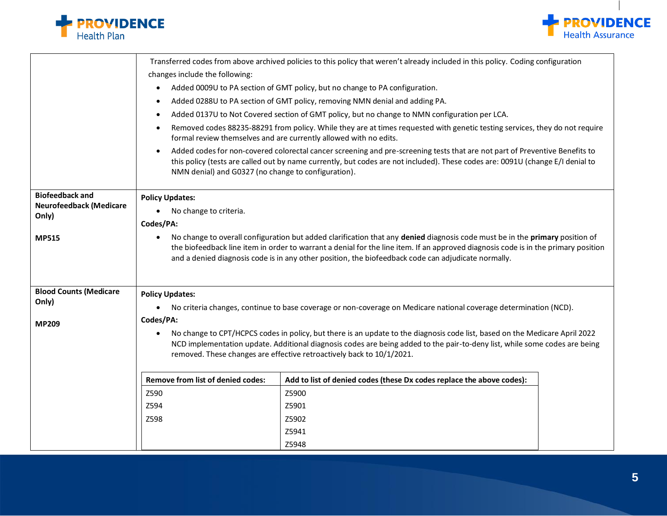



|                                | Transferred codes from above archived policies to this policy that weren't already included in this policy. Coding configuration                                                                                                                                                                                                                                                       |  |
|--------------------------------|----------------------------------------------------------------------------------------------------------------------------------------------------------------------------------------------------------------------------------------------------------------------------------------------------------------------------------------------------------------------------------------|--|
|                                | changes include the following:                                                                                                                                                                                                                                                                                                                                                         |  |
|                                | Added 0009U to PA section of GMT policy, but no change to PA configuration.<br>$\bullet$                                                                                                                                                                                                                                                                                               |  |
|                                | Added 0288U to PA section of GMT policy, removing NMN denial and adding PA.<br>$\bullet$                                                                                                                                                                                                                                                                                               |  |
|                                | Added 0137U to Not Covered section of GMT policy, but no change to NMN configuration per LCA.<br>$\bullet$                                                                                                                                                                                                                                                                             |  |
|                                | Removed codes 88235-88291 from policy. While they are at times requested with genetic testing services, they do not require<br>formal review themselves and are currently allowed with no edits.                                                                                                                                                                                       |  |
|                                | Added codes for non-covered colorectal cancer screening and pre-screening tests that are not part of Preventive Benefits to<br>$\bullet$<br>this policy (tests are called out by name currently, but codes are not included). These codes are: 0091U (change E/I denial to<br>NMN denial) and G0327 (no change to configuration).                                                      |  |
| <b>Biofeedback and</b>         | <b>Policy Updates:</b>                                                                                                                                                                                                                                                                                                                                                                 |  |
| <b>Neurofeedback (Medicare</b> | No change to criteria.<br>$\bullet$                                                                                                                                                                                                                                                                                                                                                    |  |
| Only)                          |                                                                                                                                                                                                                                                                                                                                                                                        |  |
|                                | Codes/PA:                                                                                                                                                                                                                                                                                                                                                                              |  |
| <b>MP515</b>                   | No change to overall configuration but added clarification that any denied diagnosis code must be in the primary position of<br>$\bullet$<br>the biofeedback line item in order to warrant a denial for the line item. If an approved diagnosis code is in the primary position<br>and a denied diagnosis code is in any other position, the biofeedback code can adjudicate normally. |  |
| <b>Blood Counts (Medicare</b>  | <b>Policy Updates:</b>                                                                                                                                                                                                                                                                                                                                                                 |  |
| Only)                          | No criteria changes, continue to base coverage or non-coverage on Medicare national coverage determination (NCD).<br>$\bullet$                                                                                                                                                                                                                                                         |  |
| <b>MP209</b>                   | Codes/PA:                                                                                                                                                                                                                                                                                                                                                                              |  |
|                                | No change to CPT/HCPCS codes in policy, but there is an update to the diagnosis code list, based on the Medicare April 2022<br>$\bullet$<br>NCD implementation update. Additional diagnosis codes are being added to the pair-to-deny list, while some codes are being<br>removed. These changes are effective retroactively back to 10/1/2021.                                        |  |
|                                | <b>Remove from list of denied codes:</b><br>Add to list of denied codes (these Dx codes replace the above codes):                                                                                                                                                                                                                                                                      |  |
|                                | Z590<br>Z5900                                                                                                                                                                                                                                                                                                                                                                          |  |
|                                | Z594<br>Z5901                                                                                                                                                                                                                                                                                                                                                                          |  |
|                                | Z598<br>Z5902                                                                                                                                                                                                                                                                                                                                                                          |  |
|                                | Z5941                                                                                                                                                                                                                                                                                                                                                                                  |  |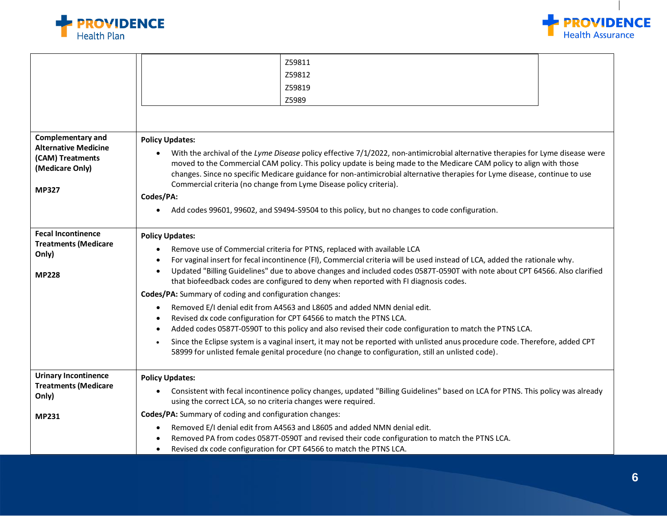



|                                                                                                                | Z59811<br>Z59812<br>Z59819<br>Z5989                                                                                                                                                                                                                                                                                                                                                                                                                                                                                                                                                                                                                                                                                                                                                                                                                                                                                                                                                                                                                                 |
|----------------------------------------------------------------------------------------------------------------|---------------------------------------------------------------------------------------------------------------------------------------------------------------------------------------------------------------------------------------------------------------------------------------------------------------------------------------------------------------------------------------------------------------------------------------------------------------------------------------------------------------------------------------------------------------------------------------------------------------------------------------------------------------------------------------------------------------------------------------------------------------------------------------------------------------------------------------------------------------------------------------------------------------------------------------------------------------------------------------------------------------------------------------------------------------------|
| <b>Complementary and</b><br><b>Alternative Medicine</b><br>(CAM) Treatments<br>(Medicare Only)<br><b>MP327</b> | <b>Policy Updates:</b><br>With the archival of the Lyme Disease policy effective 7/1/2022, non-antimicrobial alternative therapies for Lyme disease were<br>moved to the Commercial CAM policy. This policy update is being made to the Medicare CAM policy to align with those<br>changes. Since no specific Medicare guidance for non-antimicrobial alternative therapies for Lyme disease, continue to use<br>Commercial criteria (no change from Lyme Disease policy criteria).<br>Codes/PA:<br>Add codes 99601, 99602, and S9494-S9504 to this policy, but no changes to code configuration.<br>$\bullet$                                                                                                                                                                                                                                                                                                                                                                                                                                                      |
| <b>Fecal Incontinence</b><br><b>Treatments (Medicare</b><br>Only)<br><b>MP228</b>                              | <b>Policy Updates:</b><br>Remove use of Commercial criteria for PTNS, replaced with available LCA<br>$\bullet$<br>For vaginal insert for fecal incontinence (FI), Commercial criteria will be used instead of LCA, added the rationale why.<br>$\bullet$<br>Updated "Billing Guidelines" due to above changes and included codes 0587T-0590T with note about CPT 64566. Also clarified<br>$\bullet$<br>that biofeedback codes are configured to deny when reported with FI diagnosis codes.<br>Codes/PA: Summary of coding and configuration changes:<br>Removed E/I denial edit from A4563 and L8605 and added NMN denial edit.<br>$\bullet$<br>Revised dx code configuration for CPT 64566 to match the PTNS LCA.<br>Added codes 0587T-0590T to this policy and also revised their code configuration to match the PTNS LCA.<br>Since the Eclipse system is a vaginal insert, it may not be reported with unlisted anus procedure code. Therefore, added CPT<br>58999 for unlisted female genital procedure (no change to configuration, still an unlisted code). |
| <b>Urinary Incontinence</b><br><b>Treatments (Medicare</b><br>Only)<br><b>MP231</b>                            | <b>Policy Updates:</b><br>Consistent with fecal incontinence policy changes, updated "Billing Guidelines" based on LCA for PTNS. This policy was already<br>$\bullet$<br>using the correct LCA, so no criteria changes were required.<br>Codes/PA: Summary of coding and configuration changes:<br>Removed E/I denial edit from A4563 and L8605 and added NMN denial edit.<br>$\bullet$<br>Removed PA from codes 0587T-0590T and revised their code configuration to match the PTNS LCA.<br>Revised dx code configuration for CPT 64566 to match the PTNS LCA.<br>$\bullet$                                                                                                                                                                                                                                                                                                                                                                                                                                                                                         |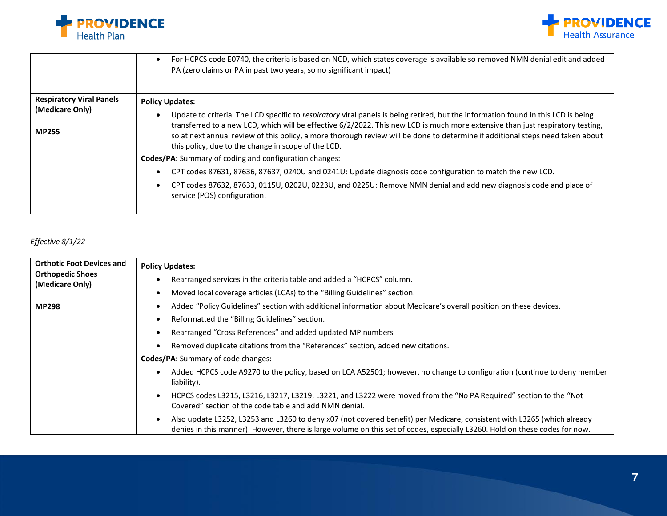



|                                 | For HCPCS code E0740, the criteria is based on NCD, which states coverage is available so removed NMN denial edit and added<br>$\bullet$<br>PA (zero claims or PA in past two years, so no significant impact)                                                                                                          |
|---------------------------------|-------------------------------------------------------------------------------------------------------------------------------------------------------------------------------------------------------------------------------------------------------------------------------------------------------------------------|
| <b>Respiratory Viral Panels</b> | <b>Policy Updates:</b>                                                                                                                                                                                                                                                                                                  |
| (Medicare Only)                 | Update to criteria. The LCD specific to respiratory viral panels is being retired, but the information found in this LCD is being<br>$\bullet$                                                                                                                                                                          |
| <b>MP255</b>                    | transferred to a new LCD, which will be effective 6/2/2022. This new LCD is much more extensive than just respiratory testing,<br>so at next annual review of this policy, a more thorough review will be done to determine if additional steps need taken about<br>this policy, due to the change in scope of the LCD. |
|                                 | Codes/PA: Summary of coding and configuration changes:                                                                                                                                                                                                                                                                  |
|                                 | CPT codes 87631, 87636, 87637, 0240U and 0241U: Update diagnosis code configuration to match the new LCD.<br>$\bullet$                                                                                                                                                                                                  |
|                                 | CPT codes 87632, 87633, 0115U, 0202U, 0223U, and 0225U: Remove NMN denial and add new diagnosis code and place of<br>service (POS) configuration.                                                                                                                                                                       |

#### *Effective 8/1/22*

| <b>Orthotic Foot Devices and</b><br><b>Orthopedic Shoes</b><br>(Medicare Only) | <b>Policy Updates:</b><br>Rearranged services in the criteria table and added a "HCPCS" column.<br>Moved local coverage articles (LCAs) to the "Billing Guidelines" section.                                                                                                                                                                                                                                                                                                                                                                                                    |
|--------------------------------------------------------------------------------|---------------------------------------------------------------------------------------------------------------------------------------------------------------------------------------------------------------------------------------------------------------------------------------------------------------------------------------------------------------------------------------------------------------------------------------------------------------------------------------------------------------------------------------------------------------------------------|
| <b>MP298</b>                                                                   | Added "Policy Guidelines" section with additional information about Medicare's overall position on these devices.<br>Reformatted the "Billing Guidelines" section.<br>Rearranged "Cross References" and added updated MP numbers<br>Removed duplicate citations from the "References" section, added new citations.<br><b>Codes/PA:</b> Summary of code changes:                                                                                                                                                                                                                |
|                                                                                | Added HCPCS code A9270 to the policy, based on LCA A52501; however, no change to configuration (continue to deny member<br>liability).<br>HCPCS codes L3215, L3216, L3217, L3219, L3221, and L3222 were moved from the "No PA Required" section to the "Not<br>Covered" section of the code table and add NMN denial.<br>Also update L3252, L3253 and L3260 to deny x07 (not covered benefit) per Medicare, consistent with L3265 (which already<br>denies in this manner). However, there is large volume on this set of codes, especially L3260. Hold on these codes for now. |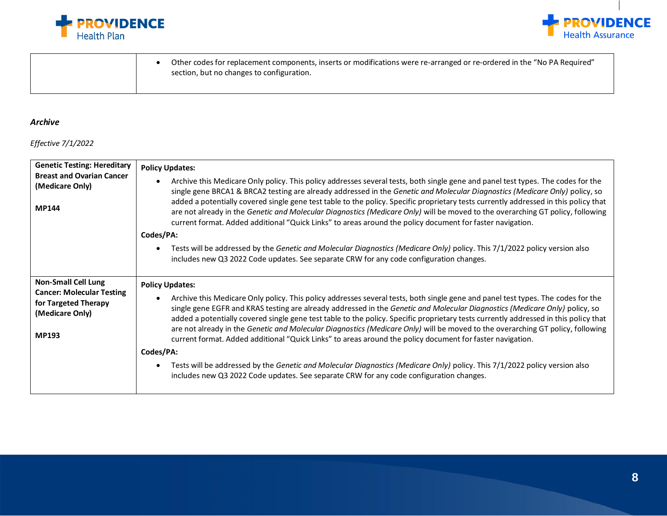



• Other codes for replacement components, inserts or modifications were re-arranged or re-ordered in the "No PA Required" section, but no changes to configuration.

#### *Archive*

*Effective 7/1/2022*

| <b>Genetic Testing: Hereditary</b><br><b>Breast and Ovarian Cancer</b><br>(Medicare Only)<br><b>MP144</b>                 | <b>Policy Updates:</b><br>Archive this Medicare Only policy. This policy addresses several tests, both single gene and panel test types. The codes for the<br>$\bullet$<br>single gene BRCA1 & BRCA2 testing are already addressed in the Genetic and Molecular Diagnostics (Medicare Only) policy, so<br>added a potentially covered single gene test table to the policy. Specific proprietary tests currently addressed in this policy that<br>are not already in the Genetic and Molecular Diagnostics (Medicare Only) will be moved to the overarching GT policy, following<br>current format. Added additional "Quick Links" to areas around the policy document for faster navigation.<br>Codes/PA:<br>Tests will be addressed by the Genetic and Molecular Diagnostics (Medicare Only) policy. This 7/1/2022 policy version also<br>$\bullet$<br>includes new Q3 2022 Code updates. See separate CRW for any code configuration changes. |
|---------------------------------------------------------------------------------------------------------------------------|--------------------------------------------------------------------------------------------------------------------------------------------------------------------------------------------------------------------------------------------------------------------------------------------------------------------------------------------------------------------------------------------------------------------------------------------------------------------------------------------------------------------------------------------------------------------------------------------------------------------------------------------------------------------------------------------------------------------------------------------------------------------------------------------------------------------------------------------------------------------------------------------------------------------------------------------------|
| <b>Non-Small Cell Lung</b><br><b>Cancer: Molecular Testing</b><br>for Targeted Therapy<br>(Medicare Only)<br><b>MP193</b> | <b>Policy Updates:</b><br>Archive this Medicare Only policy. This policy addresses several tests, both single gene and panel test types. The codes for the<br>$\bullet$<br>single gene EGFR and KRAS testing are already addressed in the Genetic and Molecular Diagnostics (Medicare Only) policy, so<br>added a potentially covered single gene test table to the policy. Specific proprietary tests currently addressed in this policy that<br>are not already in the Genetic and Molecular Diagnostics (Medicare Only) will be moved to the overarching GT policy, following<br>current format. Added additional "Quick Links" to areas around the policy document for faster navigation.<br>Codes/PA:<br>Tests will be addressed by the Genetic and Molecular Diagnostics (Medicare Only) policy. This 7/1/2022 policy version also<br>$\bullet$<br>includes new Q3 2022 Code updates. See separate CRW for any code configuration changes. |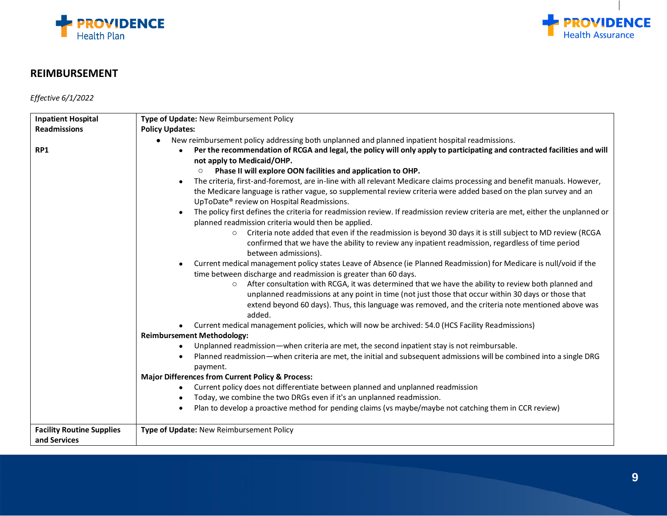



### **REIMBURSEMENT**

*Effective 6/1/2022*

| <b>Inpatient Hospital</b>                        | Type of Update: New Reimbursement Policy                                                                                                                                                                                                                                                                                              |
|--------------------------------------------------|---------------------------------------------------------------------------------------------------------------------------------------------------------------------------------------------------------------------------------------------------------------------------------------------------------------------------------------|
| <b>Readmissions</b>                              | <b>Policy Updates:</b>                                                                                                                                                                                                                                                                                                                |
|                                                  | New reimbursement policy addressing both unplanned and planned inpatient hospital readmissions.<br>$\bullet$                                                                                                                                                                                                                          |
| RP1                                              | Per the recommendation of RCGA and legal, the policy will only apply to participating and contracted facilities and will<br>$\bullet$<br>not apply to Medicaid/OHP.<br>Phase II will explore OON facilities and application to OHP.                                                                                                   |
|                                                  | The criteria, first-and-foremost, are in-line with all relevant Medicare claims processing and benefit manuals. However,<br>$\bullet$<br>the Medicare language is rather vague, so supplemental review criteria were added based on the plan survey and an<br>UpToDate® review on Hospital Readmissions.                              |
|                                                  | The policy first defines the criteria for readmission review. If readmission review criteria are met, either the unplanned or<br>planned readmission criteria would then be applied.                                                                                                                                                  |
|                                                  | Criteria note added that even if the readmission is beyond 30 days it is still subject to MD review (RCGA<br>$\circ$<br>confirmed that we have the ability to review any inpatient readmission, regardless of time period<br>between admissions).                                                                                     |
|                                                  | Current medical management policy states Leave of Absence (ie Planned Readmission) for Medicare is null/void if the<br>time between discharge and readmission is greater than 60 days.                                                                                                                                                |
|                                                  | After consultation with RCGA, it was determined that we have the ability to review both planned and<br>$\circ$<br>unplanned readmissions at any point in time (not just those that occur within 30 days or those that<br>extend beyond 60 days). Thus, this language was removed, and the criteria note mentioned above was<br>added. |
|                                                  | Current medical management policies, which will now be archived: 54.0 (HCS Facility Readmissions)                                                                                                                                                                                                                                     |
|                                                  | <b>Reimbursement Methodology:</b>                                                                                                                                                                                                                                                                                                     |
|                                                  | Unplanned readmission—when criteria are met, the second inpatient stay is not reimbursable.<br>$\bullet$                                                                                                                                                                                                                              |
|                                                  | Planned readmission—when criteria are met, the initial and subsequent admissions will be combined into a single DRG<br>$\bullet$<br>payment.                                                                                                                                                                                          |
|                                                  | <b>Major Differences from Current Policy &amp; Process:</b>                                                                                                                                                                                                                                                                           |
|                                                  | Current policy does not differentiate between planned and unplanned readmission<br>$\bullet$                                                                                                                                                                                                                                          |
|                                                  | Today, we combine the two DRGs even if it's an unplanned readmission.<br>$\bullet$                                                                                                                                                                                                                                                    |
|                                                  | Plan to develop a proactive method for pending claims (vs maybe/maybe not catching them in CCR review)                                                                                                                                                                                                                                |
| <b>Facility Routine Supplies</b><br>and Services | Type of Update: New Reimbursement Policy                                                                                                                                                                                                                                                                                              |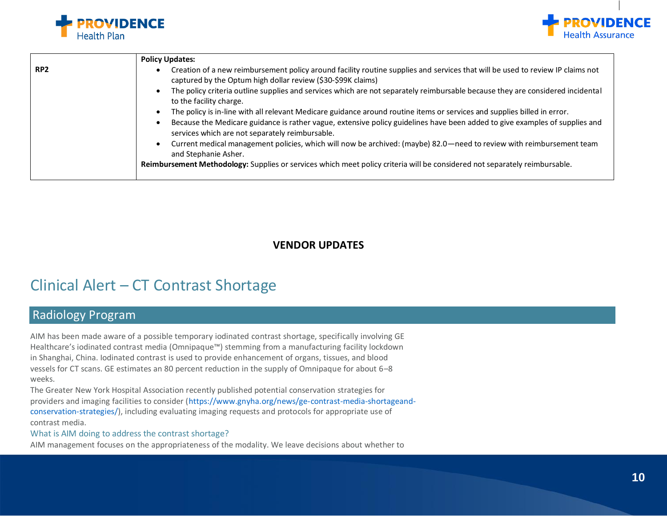



|                 | <b>Policy Updates:</b>                                                                                                                                                                                      |
|-----------------|-------------------------------------------------------------------------------------------------------------------------------------------------------------------------------------------------------------|
| RP <sub>2</sub> | Creation of a new reimbursement policy around facility routine supplies and services that will be used to review IP claims not<br>$\bullet$<br>captured by the Optum high dollar review (\$30-\$99K claims) |
|                 | The policy criteria outline supplies and services which are not separately reimbursable because they are considered incidental<br>$\bullet$<br>to the facility charge.                                      |
|                 | The policy is in-line with all relevant Medicare guidance around routine items or services and supplies billed in error.<br>$\bullet$                                                                       |
|                 | Because the Medicare guidance is rather vague, extensive policy guidelines have been added to give examples of supplies and<br>٠<br>services which are not separately reimbursable.                         |
|                 | Current medical management policies, which will now be archived: (maybe) 82.0—need to review with reimbursement team<br>$\bullet$<br>and Stephanie Asher.                                                   |
|                 | Reimbursement Methodology: Supplies or services which meet policy criteria will be considered not separately reimbursable.                                                                                  |
|                 |                                                                                                                                                                                                             |

#### **VENDOR UPDATES**

# Clinical Alert – CT Contrast Shortage

## Radiology Program

AIM has been made aware of a possible temporary iodinated contrast shortage, specifically involving GE Healthcare's iodinated contrast media (Omnipaque™) stemming from a manufacturing facility lockdown in Shanghai, China. Iodinated contrast is used to provide enhancement of organs, tissues, and blood vessels for CT scans. GE estimates an 80 percent reduction in the supply of Omnipaque for about 6–8 weeks.

The Greater New York Hospital Association recently published potential conservation strategies for providers and imaging facilities to consider (https://www.gnyha.org/news/ge-contrast-media-shortageandconservation-strategies/), including evaluating imaging requests and protocols for appropriate use of contrast media.

#### What is AIM doing to address the contrast shortage?

AIM management focuses on the appropriateness of the modality. We leave decisions about whether to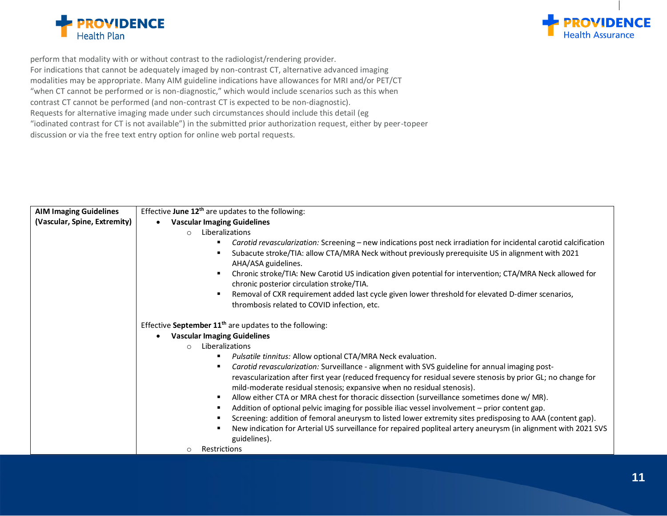



perform that modality with or without contrast to the radiologist/rendering provider. For indications that cannot be adequately imaged by non-contrast CT, alternative advanced imaging modalities may be appropriate. Many AIM guideline indications have allowances for MRI and/or PET/CT "when CT cannot be performed or is non-diagnostic," which would include scenarios such as this when contrast CT cannot be performed (and non-contrast CT is expected to be non-diagnostic). Requests for alternative imaging made under such circumstances should include this detail (eg "iodinated contrast for CT is not available") in the submitted prior authorization request, either by peer-topeer discussion or via the free text entry option for online web portal requests.

| <b>AIM Imaging Guidelines</b> | Effective June 12 <sup>th</sup> are updates to the following:                                                                                         |
|-------------------------------|-------------------------------------------------------------------------------------------------------------------------------------------------------|
| (Vascular, Spine, Extremity)  | <b>Vascular Imaging Guidelines</b><br>$\bullet$                                                                                                       |
|                               | Liberalizations<br>$\circ$                                                                                                                            |
|                               | Carotid revascularization: Screening - new indications post neck irradiation for incidental carotid calcification                                     |
|                               | Subacute stroke/TIA: allow CTA/MRA Neck without previously prerequisite US in alignment with 2021<br>AHA/ASA guidelines.                              |
|                               | Chronic stroke/TIA: New Carotid US indication given potential for intervention; CTA/MRA Neck allowed for<br>chronic posterior circulation stroke/TIA. |
|                               | Removal of CXR requirement added last cycle given lower threshold for elevated D-dimer scenarios,                                                     |
|                               | thrombosis related to COVID infection, etc.                                                                                                           |
|                               |                                                                                                                                                       |
|                               | Effective September 11 <sup>th</sup> are updates to the following:                                                                                    |
|                               | <b>Vascular Imaging Guidelines</b>                                                                                                                    |
|                               | Liberalizations<br>$\circ$                                                                                                                            |
|                               | Pulsatile tinnitus: Allow optional CTA/MRA Neck evaluation.                                                                                           |
|                               | Carotid revascularization: Surveillance - alignment with SVS guideline for annual imaging post-                                                       |
|                               | revascularization after first year (reduced frequency for residual severe stenosis by prior GL; no change for                                         |
|                               | mild-moderate residual stenosis; expansive when no residual stenosis).                                                                                |
|                               | Allow either CTA or MRA chest for thoracic dissection (surveillance sometimes done w/ MR).                                                            |
|                               | Addition of optional pelvic imaging for possible iliac vessel involvement - prior content gap.                                                        |
|                               | Screening: addition of femoral aneurysm to listed lower extremity sites predisposing to AAA (content gap).                                            |
|                               | New indication for Arterial US surveillance for repaired popliteal artery aneurysm (in alignment with 2021 SVS                                        |
|                               | guidelines).                                                                                                                                          |
|                               | Restrictions<br>$\circ$                                                                                                                               |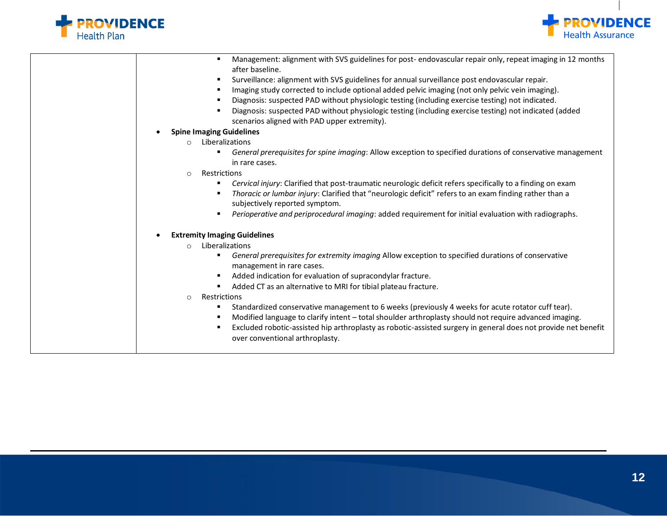



| Management: alignment with SVS guidelines for post- endovascular repair only, repeat imaging in 12 months<br>٠                                                           |
|--------------------------------------------------------------------------------------------------------------------------------------------------------------------------|
| after baseline.                                                                                                                                                          |
| Surveillance: alignment with SVS guidelines for annual surveillance post endovascular repair.<br>$\blacksquare$                                                          |
| Imaging study corrected to include optional added pelvic imaging (not only pelvic vein imaging).<br>٠                                                                    |
| Diagnosis: suspected PAD without physiologic testing (including exercise testing) not indicated.<br>$\blacksquare$                                                       |
| Diagnosis: suspected PAD without physiologic testing (including exercise testing) not indicated (added<br>$\blacksquare$<br>scenarios aligned with PAD upper extremity). |
| <b>Spine Imaging Guidelines</b>                                                                                                                                          |
| Liberalizations<br>$\circ$                                                                                                                                               |
| General prerequisites for spine imaging: Allow exception to specified durations of conservative management<br>Ξ<br>in rare cases.                                        |
| Restrictions<br>$\circ$                                                                                                                                                  |
| Cervical injury: Clarified that post-traumatic neurologic deficit refers specifically to a finding on exam<br>٠                                                          |
| Thoracic or lumbar injury: Clarified that "neurologic deficit" refers to an exam finding rather than a<br>٠                                                              |
| subjectively reported symptom.                                                                                                                                           |
| Perioperative and periprocedural imaging: added requirement for initial evaluation with radiographs.<br>$\blacksquare$                                                   |
|                                                                                                                                                                          |
| <b>Extremity Imaging Guidelines</b>                                                                                                                                      |
| Liberalizations<br>$\circ$                                                                                                                                               |
| General prerequisites for extremity imaging Allow exception to specified durations of conservative<br>Ξ<br>management in rare cases.                                     |
| Added indication for evaluation of supracondylar fracture.<br>٠                                                                                                          |
| Added CT as an alternative to MRI for tibial plateau fracture.<br>Ξ                                                                                                      |
| Restrictions<br>$\circ$                                                                                                                                                  |
| Standardized conservative management to 6 weeks (previously 4 weeks for acute rotator cuff tear).<br>٠                                                                   |
| Modified language to clarify intent - total shoulder arthroplasty should not require advanced imaging.<br>$\blacksquare$                                                 |
| Excluded robotic-assisted hip arthroplasty as robotic-assisted surgery in general does not provide net benefit<br>$\blacksquare$                                         |
| over conventional arthroplasty.                                                                                                                                          |
|                                                                                                                                                                          |
|                                                                                                                                                                          |
|                                                                                                                                                                          |
|                                                                                                                                                                          |
|                                                                                                                                                                          |
|                                                                                                                                                                          |
|                                                                                                                                                                          |
|                                                                                                                                                                          |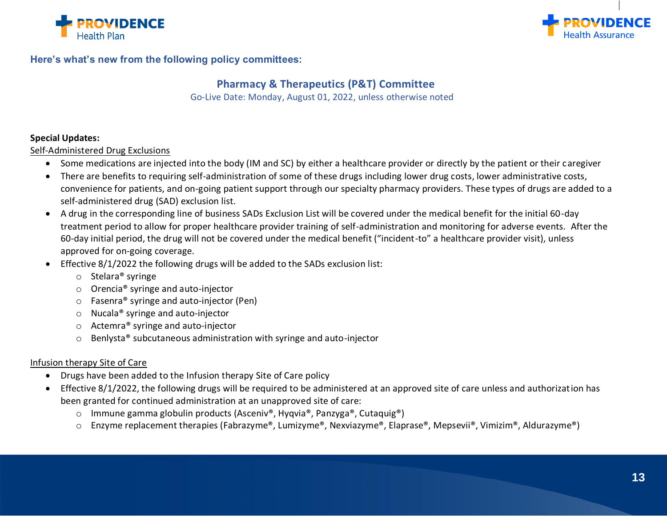



#### **Here's what's new from the following policy committees:**

#### **Pharmacy & Therapeutics (P&T) Committee**

Go-Live Date: Monday, August 01, 2022, unless otherwise noted

#### **Special Updates:**

Self-Administered Drug Exclusions

- Some medications are injected into the body (IM and SC) by either a healthcare provider or directly by the patient or their caregiver
- There are benefits to requiring self-administration of some of these drugs including lower drug costs, lower administrative costs, convenience for patients, and on-going patient support through our specialty pharmacy providers. These types of drugs are added to a self-administered drug (SAD) exclusion list.
- A drug in the corresponding line of business SADs Exclusion List will be covered under the medical benefit for the initial 60-day treatment period to allow for proper healthcare provider training of self-administration and monitoring for adverse events. After the 60-day initial period, the drug will not be covered under the medical benefit ("incident-to" a healthcare provider visit), unless approved for on-going coverage.
- Effective 8/1/2022 the following drugs will be added to the SADs exclusion list:
	- o Stelara® syringe
	- o Orencia® syringe and auto-injector
	- o Fasenra® syringe and auto-injector (Pen)
	- o Nucala® syringe and auto-injector
	- o Actemra® syringe and auto-injector
	- o Benlysta® subcutaneous administration with syringe and auto-injector

#### Infusion therapy Site of Care

- Drugs have been added to the Infusion therapy Site of Care policy
- Effective 8/1/2022, the following drugs will be required to be administered at an approved site of care unless and authorization has been granted for continued administration at an unapproved site of care:
	- o Immune gamma globulin products (Asceniv®, Hyqvia®, Panzyga®, Cutaquig®)
	- o Enzyme replacement therapies (Fabrazyme®, Lumizyme®, Nexviazyme®, Elaprase®, Mepsevii®, Vimizim®, Aldurazyme®)